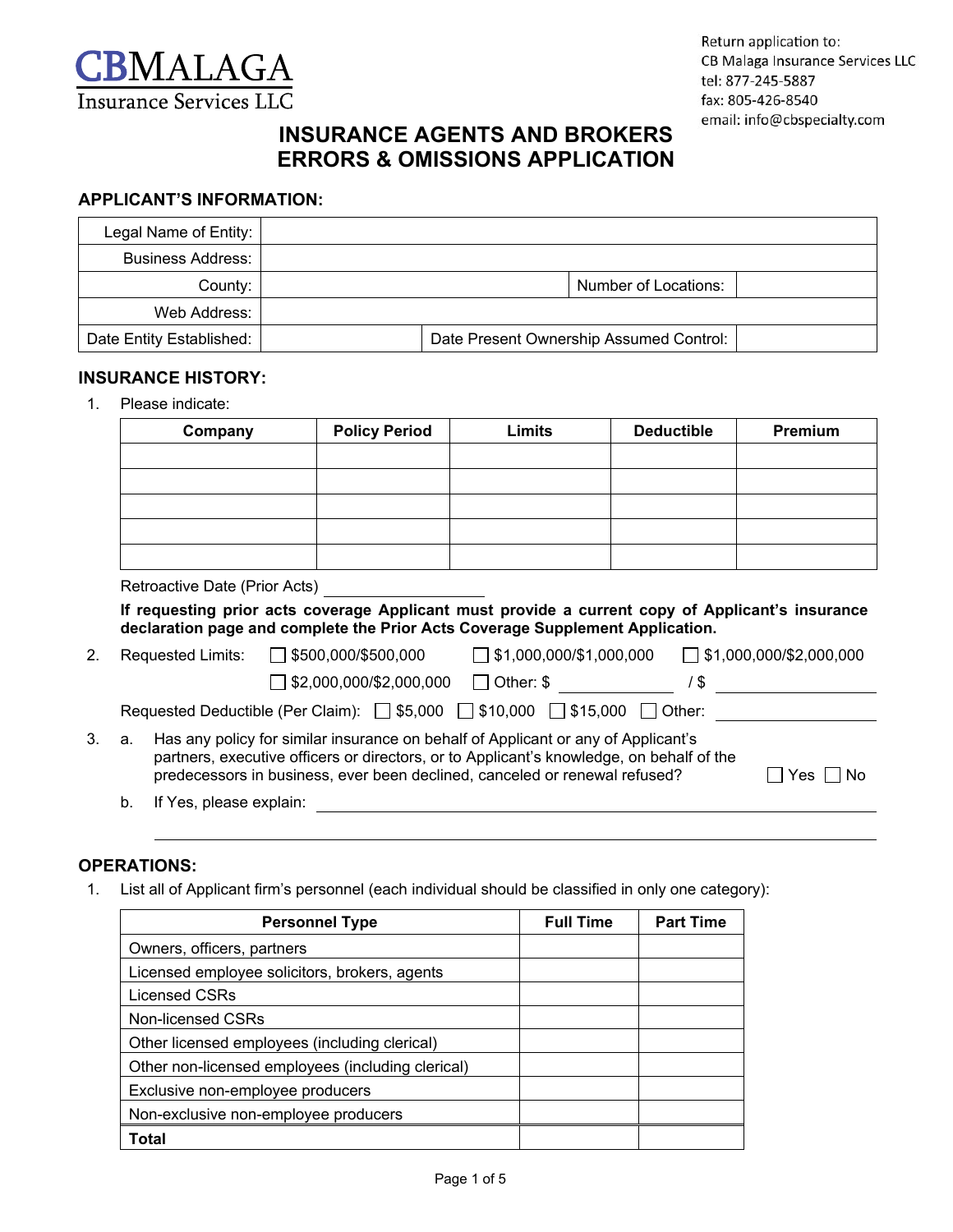

# **INSURANCE AGENTS AND BROKERS ERRORS & OMISSIONS APPLICATION**

### **APPLICANT'S INFORMATION:**

| Legal Name of Entity:    |                                         |  |                      |  |
|--------------------------|-----------------------------------------|--|----------------------|--|
| <b>Business Address:</b> |                                         |  |                      |  |
| County:                  |                                         |  | Number of Locations: |  |
| Web Address:             |                                         |  |                      |  |
| Date Entity Established: | Date Present Ownership Assumed Control: |  |                      |  |

### **INSURANCE HISTORY:**

1. Please indicate:

| Company | <b>Policy Period</b> | <b>Limits</b> | <b>Deductible</b> | Premium |
|---------|----------------------|---------------|-------------------|---------|
|         |                      |               |                   |         |
|         |                      |               |                   |         |
|         |                      |               |                   |         |
|         |                      |               |                   |         |
|         |                      |               |                   |         |

Retroactive Date (Prior Acts)

**If requesting prior acts coverage Applicant must provide a current copy of Applicant's insurance declaration page and complete the Prior Acts Coverage Supplement Application.**

| 2. |    | <b>Requested Limits:</b>                                                                       | $\Box$ \$500,000/\$500,000                                                                                                                                             |                  | $\Box$ \$1,000,000/\$1,000,000 |   | $\Box$ \$1,000,000/\$2,000,000 |  |
|----|----|------------------------------------------------------------------------------------------------|------------------------------------------------------------------------------------------------------------------------------------------------------------------------|------------------|--------------------------------|---|--------------------------------|--|
|    |    |                                                                                                | $\Box$ \$2,000,000/\$2,000,000                                                                                                                                         | $\Box$ Other: \$ |                                | 8 |                                |  |
|    |    | Requested Deductible (Per Claim): $\Box$ \$5,000 $\Box$ \$10,000 $\Box$ \$15,000 $\Box$ Other: |                                                                                                                                                                        |                  |                                |   |                                |  |
| 3. | a. | Has any policy for similar insurance on behalf of Applicant or any of Applicant's              | partners, executive officers or directors, or to Applicant's knowledge, on behalf of the<br>predecessors in business, ever been declined, canceled or renewal refused? |                  |                                |   | Yes $\Box$ No                  |  |
|    | b. | If Yes, please explain:                                                                        |                                                                                                                                                                        |                  |                                |   |                                |  |
|    |    |                                                                                                |                                                                                                                                                                        |                  |                                |   |                                |  |

### **OPERATIONS:**

1. List all of Applicant firm's personnel (each individual should be classified in only one category):

| <b>Personnel Type</b>                             | <b>Full Time</b> | <b>Part Time</b> |
|---------------------------------------------------|------------------|------------------|
| Owners, officers, partners                        |                  |                  |
| Licensed employee solicitors, brokers, agents     |                  |                  |
| Licensed CSRs                                     |                  |                  |
| Non-licensed CSRs                                 |                  |                  |
| Other licensed employees (including clerical)     |                  |                  |
| Other non-licensed employees (including clerical) |                  |                  |
| Exclusive non-employee producers                  |                  |                  |
| Non-exclusive non-employee producers              |                  |                  |
| Total                                             |                  |                  |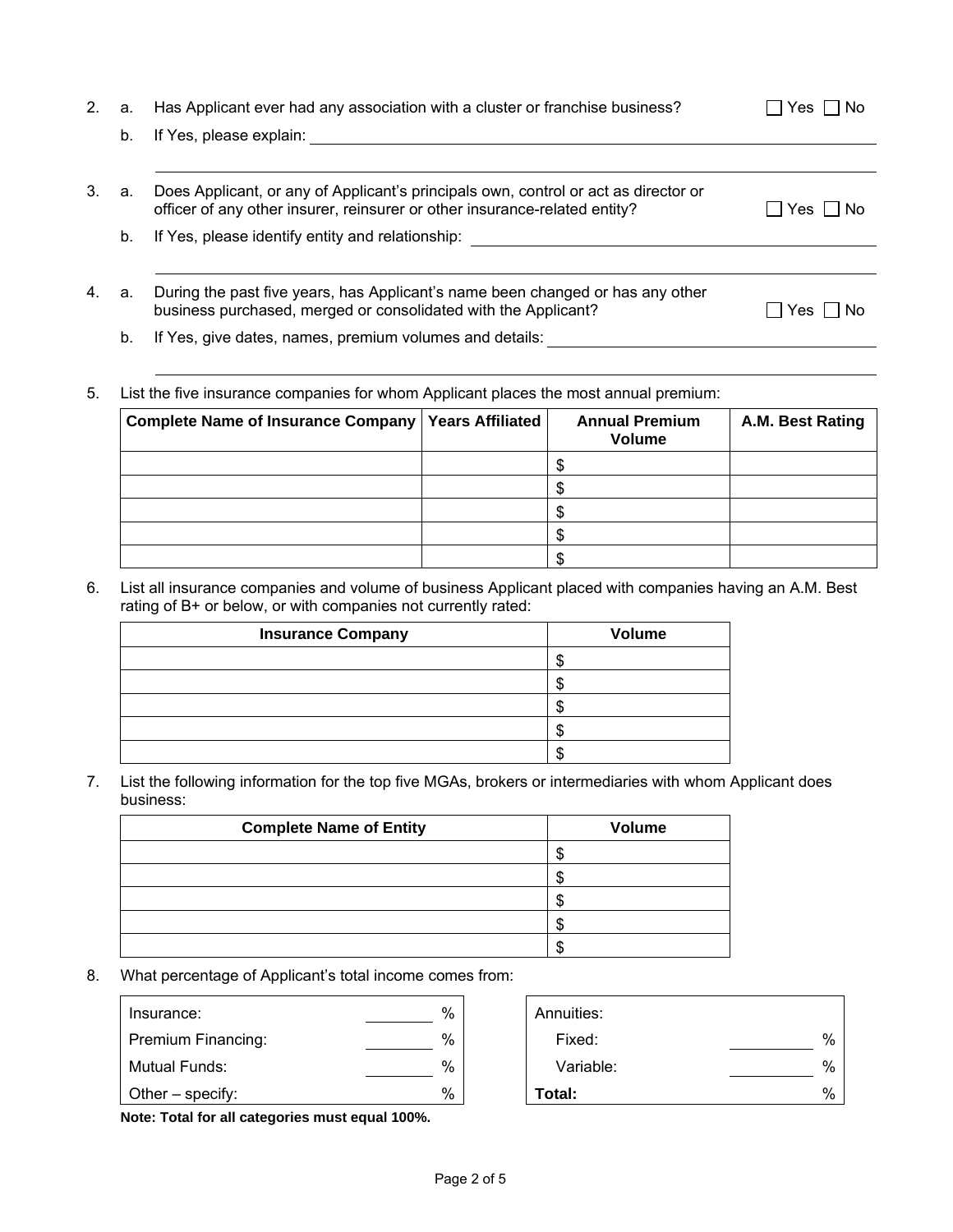| 2. | a. | Has Applicant ever had any association with a cluster or franchise business?                                                                                      | Yes  <br>l No |
|----|----|-------------------------------------------------------------------------------------------------------------------------------------------------------------------|---------------|
|    | b. | If Yes, please explain:                                                                                                                                           |               |
|    |    |                                                                                                                                                                   |               |
| 3. | а. | Does Applicant, or any of Applicant's principals own, control or act as director or<br>officer of any other insurer, reinsurer or other insurance-related entity? | Yes I I No    |
|    | b. | If Yes, please identify entity and relationship:                                                                                                                  |               |
| 4. | a. | During the past five years, has Applicant's name been changed or has any other                                                                                    |               |
|    |    | business purchased, merged or consolidated with the Applicant?                                                                                                    | No.<br>Yes.   |

b. If Yes, give dates, names, premium volumes and details:

### 5. List the five insurance companies for whom Applicant places the most annual premium:

| Complete Name of Insurance Company   Years Affiliated | <b>Annual Premium</b><br><b>Volume</b> | A.M. Best Rating |
|-------------------------------------------------------|----------------------------------------|------------------|
|                                                       |                                        |                  |
|                                                       |                                        |                  |
|                                                       |                                        |                  |
|                                                       |                                        |                  |
|                                                       |                                        |                  |

#### 6. List all insurance companies and volume of business Applicant placed with companies having an A.M. Best rating of B+ or below, or with companies not currently rated:

| <b>Insurance Company</b> | <b>Volume</b> |
|--------------------------|---------------|
|                          |               |
|                          |               |
|                          |               |
|                          |               |
|                          |               |

#### 7. List the following information for the top five MGAs, brokers or intermediaries with whom Applicant does business:

| <b>Complete Name of Entity</b> | <b>Volume</b> |
|--------------------------------|---------------|
|                                |               |
|                                |               |
|                                |               |
|                                |               |
|                                |               |

### 8. What percentage of Applicant's total income comes from:

| Insurance:           | % | Annuities: |               |
|----------------------|---|------------|---------------|
| Premium Financing:   | % | Fixed:     | %             |
| <b>Mutual Funds:</b> | % | Variable:  | %             |
| Other $-$ specify:   | % | Total:     | $\frac{0}{0}$ |

| Total:     | 0/ |
|------------|----|
| Variable:  | %  |
| Fixed:     | %  |
| Annuities: |    |

**Note: Total for all categories must equal 100%.**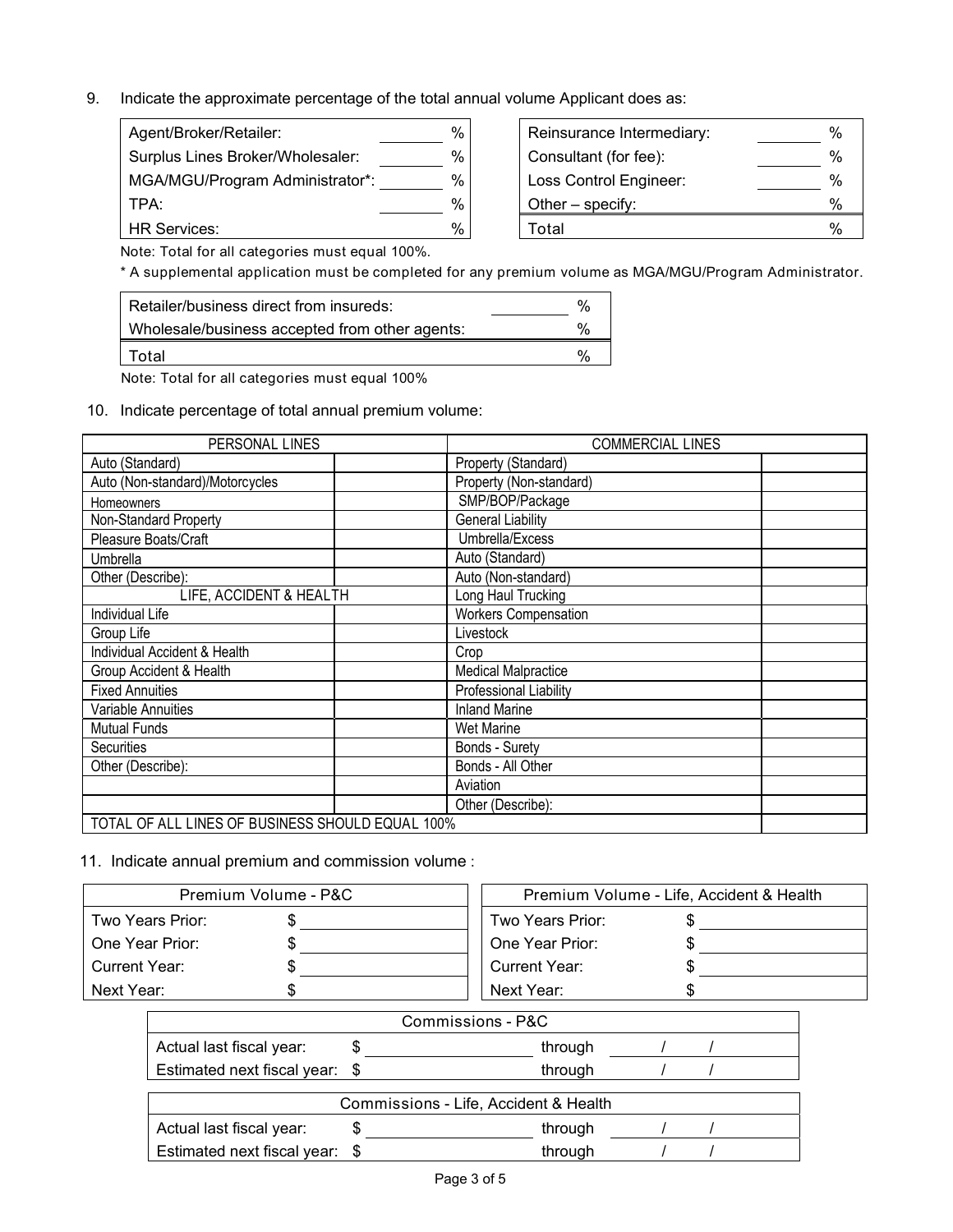9. Indicate the approximate percentage of the total annual volume Applicant does as:

| Agent/Broker/Retailer:           | % | Reinsurance Intermediary: | %    |
|----------------------------------|---|---------------------------|------|
| Surplus Lines Broker/Wholesaler: | % | Consultant (for fee):     | ℅    |
| MGA/MGU/Program Administrator*:  | % | Loss Control Engineer:    | %    |
| TPA:                             | % | Other $-$ specify:        | %    |
| <b>HR Services:</b>              | % | Total                     | $\%$ |

| Reinsurance Intermediary: | %    |
|---------------------------|------|
| Consultant (for fee):     | %    |
| Loss Control Engineer:    | %    |
| Other - specify:          | %    |
| Total                     | $\%$ |

Note: Total for all categories must equal 100%.

\* A supplemental application must be completed for any premium volume as MGA/MGU/Program Administrator.

| Retailer/business direct from insureds:        | %             |
|------------------------------------------------|---------------|
| Wholesale/business accepted from other agents: | $\%$          |
| Total                                          | $\frac{0}{6}$ |

Note: Total for all categories must equal 100%

10. Indicate percentage of total annual premium volume:

| PERSONAL LINES                                   | <b>COMMERCIAL LINES</b>     |  |  |
|--------------------------------------------------|-----------------------------|--|--|
| Auto (Standard)                                  | Property (Standard)         |  |  |
| Auto (Non-standard)/Motorcycles                  | Property (Non-standard)     |  |  |
| Homeowners                                       | SMP/BOP/Package             |  |  |
| Non-Standard Property                            | <b>General Liability</b>    |  |  |
| Pleasure Boats/Craft                             | Umbrella/Excess             |  |  |
| Umbrella                                         | Auto (Standard)             |  |  |
| Other (Describe):                                | Auto (Non-standard)         |  |  |
| LIFE, ACCIDENT & HEALTH                          | Long Haul Trucking          |  |  |
| Individual Life                                  | <b>Workers Compensation</b> |  |  |
| Group Life                                       | Livestock                   |  |  |
| Individual Accident & Health                     | Crop                        |  |  |
| Group Accident & Health                          | <b>Medical Malpractice</b>  |  |  |
| <b>Fixed Annuities</b>                           | Professional Liability      |  |  |
| Variable Annuities                               | <b>Inland Marine</b>        |  |  |
| <b>Mutual Funds</b>                              | Wet Marine                  |  |  |
| <b>Securities</b>                                | Bonds - Surety              |  |  |
| Other (Describe):                                | Bonds - All Other           |  |  |
|                                                  | Aviation                    |  |  |
|                                                  | Other (Describe):           |  |  |
| TOTAL OF ALL LINES OF BUSINESS SHOULD EQUAL 100% |                             |  |  |

#### 11. Indicate annual premium and commission volume :

| Premium Volume - P&C |  | Premium Volume - Life, Accident & Health |  |  |
|----------------------|--|------------------------------------------|--|--|
| Two Years Prior:     |  | Two Years Prior:                         |  |  |
| One Year Prior:      |  | One Year Prior:                          |  |  |
| Current Year:        |  | Current Year:                            |  |  |
| Next Year:           |  | Next Year:                               |  |  |

|                                       |   | Commissions - P&C |  |  |
|---------------------------------------|---|-------------------|--|--|
| Actual last fiscal year:              |   | through           |  |  |
| Estimated next fiscal year: \$        |   | through           |  |  |
| Commissions - Life, Accident & Health |   |                   |  |  |
| Actual last fiscal year:              | S | through           |  |  |
| Estimated next fiscal year: \$        |   | through           |  |  |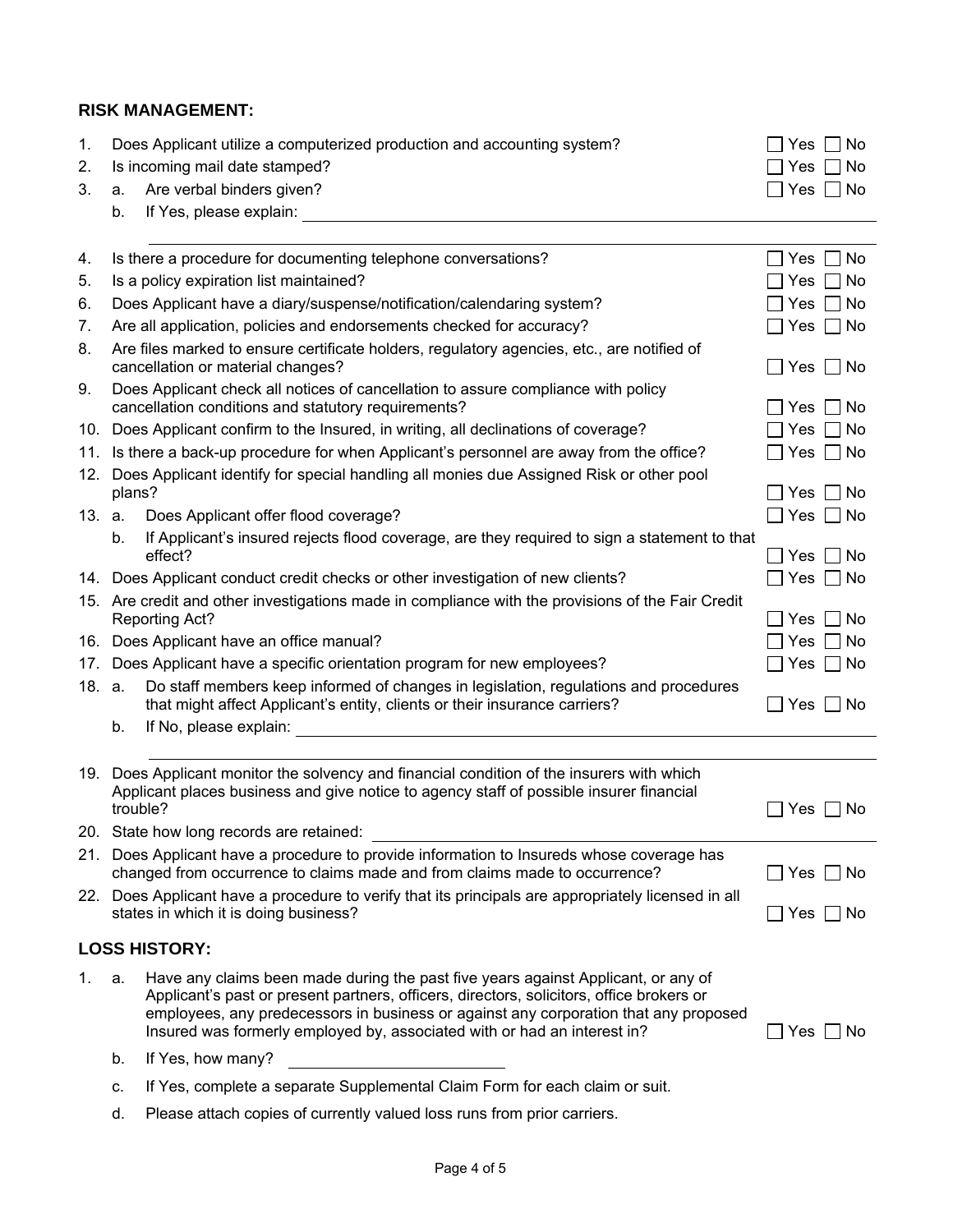## **RISK MANAGEMENT:**

| 1.     |                                                                                                                                                 | Does Applicant utilize a computerized production and accounting system?                                                                                                                                                                                                                                                                           | Yes $\Box$<br>No      |  |  |  |
|--------|-------------------------------------------------------------------------------------------------------------------------------------------------|---------------------------------------------------------------------------------------------------------------------------------------------------------------------------------------------------------------------------------------------------------------------------------------------------------------------------------------------------|-----------------------|--|--|--|
| 2.     |                                                                                                                                                 | Is incoming mail date stamped?                                                                                                                                                                                                                                                                                                                    | No<br>Yes.            |  |  |  |
| 3.     | a.                                                                                                                                              | Are verbal binders given?                                                                                                                                                                                                                                                                                                                         | N <sub>o</sub><br>Yes |  |  |  |
|        | b.                                                                                                                                              | If Yes, please explain:                                                                                                                                                                                                                                                                                                                           |                       |  |  |  |
|        |                                                                                                                                                 |                                                                                                                                                                                                                                                                                                                                                   |                       |  |  |  |
| 4.     |                                                                                                                                                 | Is there a procedure for documenting telephone conversations?                                                                                                                                                                                                                                                                                     | No<br>_∣ Yes          |  |  |  |
| 5.     |                                                                                                                                                 | Is a policy expiration list maintained?                                                                                                                                                                                                                                                                                                           | No<br>Yes             |  |  |  |
| 6.     |                                                                                                                                                 | Does Applicant have a diary/suspense/notification/calendaring system?                                                                                                                                                                                                                                                                             | Yes<br>No.            |  |  |  |
| 7.     |                                                                                                                                                 | Are all application, policies and endorsements checked for accuracy?                                                                                                                                                                                                                                                                              | Yes<br>$\Box$ No      |  |  |  |
| 8.     | Are files marked to ensure certificate holders, regulatory agencies, etc., are notified of<br>cancellation or material changes?<br>  Yes     No |                                                                                                                                                                                                                                                                                                                                                   |                       |  |  |  |
| 9.     |                                                                                                                                                 | Does Applicant check all notices of cancellation to assure compliance with policy<br>cancellation conditions and statutory requirements?                                                                                                                                                                                                          | ∣Yes<br>l No          |  |  |  |
|        |                                                                                                                                                 | 10. Does Applicant confirm to the Insured, in writing, all declinations of coverage?                                                                                                                                                                                                                                                              | Yes<br>No             |  |  |  |
| 11.    |                                                                                                                                                 | Is there a back-up procedure for when Applicant's personnel are away from the office?                                                                                                                                                                                                                                                             | Yes $\Box$ No         |  |  |  |
| 12.    | plans?                                                                                                                                          | Does Applicant identify for special handling all monies due Assigned Risk or other pool                                                                                                                                                                                                                                                           |                       |  |  |  |
|        |                                                                                                                                                 |                                                                                                                                                                                                                                                                                                                                                   | Yes<br>No             |  |  |  |
| 13. a. |                                                                                                                                                 | Does Applicant offer flood coverage?                                                                                                                                                                                                                                                                                                              | $\Box$ Yes $\Box$ No  |  |  |  |
|        | b.                                                                                                                                              | If Applicant's insured rejects flood coverage, are they required to sign a statement to that<br>effect?                                                                                                                                                                                                                                           | Yes     No            |  |  |  |
|        |                                                                                                                                                 | 14. Does Applicant conduct credit checks or other investigation of new clients?                                                                                                                                                                                                                                                                   | Yes $\Box$ No         |  |  |  |
|        |                                                                                                                                                 | 15. Are credit and other investigations made in compliance with the provisions of the Fair Credit                                                                                                                                                                                                                                                 |                       |  |  |  |
|        |                                                                                                                                                 | <b>Reporting Act?</b>                                                                                                                                                                                                                                                                                                                             | No<br>Yes             |  |  |  |
|        |                                                                                                                                                 | 16. Does Applicant have an office manual?                                                                                                                                                                                                                                                                                                         | Yes<br>No             |  |  |  |
| 17.    |                                                                                                                                                 | Does Applicant have a specific orientation program for new employees?                                                                                                                                                                                                                                                                             | $Yes \mid \text{No}$  |  |  |  |
| 18. a. |                                                                                                                                                 | Do staff members keep informed of changes in legislation, regulations and procedures<br>that might affect Applicant's entity, clients or their insurance carriers?                                                                                                                                                                                | $\Box$ Yes $\Box$ No  |  |  |  |
|        | b.                                                                                                                                              | If No, please explain:                                                                                                                                                                                                                                                                                                                            |                       |  |  |  |
|        |                                                                                                                                                 |                                                                                                                                                                                                                                                                                                                                                   |                       |  |  |  |
|        |                                                                                                                                                 | 19. Does Applicant monitor the solvency and financial condition of the insurers with which<br>Applicant places business and give notice to agency staff of possible insurer financial                                                                                                                                                             |                       |  |  |  |
|        |                                                                                                                                                 | trouble?                                                                                                                                                                                                                                                                                                                                          | Yes<br>No.            |  |  |  |
|        |                                                                                                                                                 | 20. State how long records are retained:                                                                                                                                                                                                                                                                                                          |                       |  |  |  |
|        |                                                                                                                                                 | 21. Does Applicant have a procedure to provide information to Insureds whose coverage has<br>changed from occurrence to claims made and from claims made to occurrence?                                                                                                                                                                           | $\Box$ Yes $\Box$ No  |  |  |  |
|        |                                                                                                                                                 | 22. Does Applicant have a procedure to verify that its principals are appropriately licensed in all                                                                                                                                                                                                                                               |                       |  |  |  |
|        |                                                                                                                                                 | states in which it is doing business?                                                                                                                                                                                                                                                                                                             | ∐ Yes  ∐ No           |  |  |  |
|        |                                                                                                                                                 | <b>LOSS HISTORY:</b>                                                                                                                                                                                                                                                                                                                              |                       |  |  |  |
| 1.     | a.                                                                                                                                              | Have any claims been made during the past five years against Applicant, or any of<br>Applicant's past or present partners, officers, directors, solicitors, office brokers or<br>employees, any predecessors in business or against any corporation that any proposed<br>Insured was formerly employed by, associated with or had an interest in? | $\Box$ Yes $\Box$ No  |  |  |  |
|        | b.                                                                                                                                              | If Yes, how many?                                                                                                                                                                                                                                                                                                                                 |                       |  |  |  |
|        |                                                                                                                                                 |                                                                                                                                                                                                                                                                                                                                                   |                       |  |  |  |

- c. If Yes, complete a separate Supplemental Claim Form for each claim or suit.
- d. Please attach copies of currently valued loss runs from prior carriers.